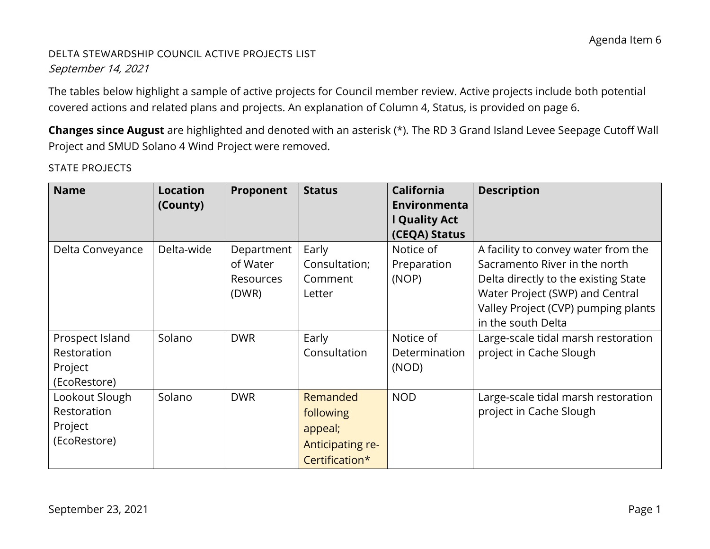# DELTA STEWARDSHIP COUNCIL ACTIVE PROJECTS LIST September 14, 2021

The tables below highlight a sample of active projects for Council member review. Active projects include both potential covered actions and related plans and projects. An explanation of Column 4, Status, is provided on page 6.

**Changes since August** are highlighted and denoted with an asterisk (\*). The RD 3 Grand Island Levee Seepage Cutoff Wall Project and SMUD Solano 4 Wind Project were removed.

| <b>Name</b>                                               | <b>Location</b><br>(County) | Proponent                                           | <b>Status</b>                                                          | <b>California</b><br>Environmenta<br><b>Quality Act</b><br>(CEQA) Status | <b>Description</b>                                                                                                                                                                                           |
|-----------------------------------------------------------|-----------------------------|-----------------------------------------------------|------------------------------------------------------------------------|--------------------------------------------------------------------------|--------------------------------------------------------------------------------------------------------------------------------------------------------------------------------------------------------------|
| Delta Conveyance                                          | Delta-wide                  | Department<br>of Water<br><b>Resources</b><br>(DWR) | Early<br>Consultation;<br>Comment<br>Letter                            | Notice of<br>Preparation<br>(NOP)                                        | A facility to convey water from the<br>Sacramento River in the north<br>Delta directly to the existing State<br>Water Project (SWP) and Central<br>Valley Project (CVP) pumping plants<br>in the south Delta |
| Prospect Island<br>Restoration<br>Project<br>(EcoRestore) | Solano                      | <b>DWR</b>                                          | Early<br>Consultation                                                  | Notice of<br>Determination<br>(NOD)                                      | Large-scale tidal marsh restoration<br>project in Cache Slough                                                                                                                                               |
| Lookout Slough<br>Restoration<br>Project<br>(EcoRestore)  | Solano                      | <b>DWR</b>                                          | Remanded<br>following<br>appeal;<br>Anticipating re-<br>Certification* | <b>NOD</b>                                                               | Large-scale tidal marsh restoration<br>project in Cache Slough                                                                                                                                               |

STATE PROJECTS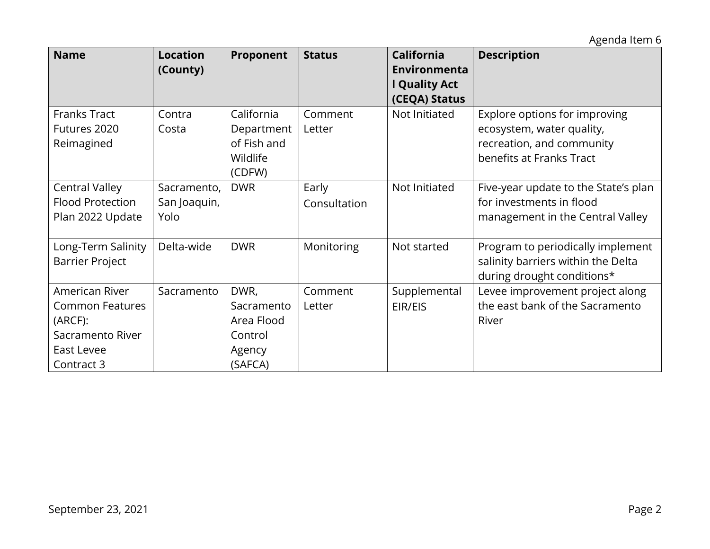Agenda Item 6

| <b>Name</b>             | <b>Location</b><br>(County) | Proponent   | <b>Status</b> | <b>California</b><br>Environmenta<br>I Quality Act | <b>Description</b>                   |
|-------------------------|-----------------------------|-------------|---------------|----------------------------------------------------|--------------------------------------|
|                         |                             |             |               | (CEQA) Status                                      |                                      |
| <b>Franks Tract</b>     | Contra                      | California  | Comment       | Not Initiated                                      | Explore options for improving        |
| Futures 2020            | Costa                       | Department  | Letter        |                                                    | ecosystem, water quality,            |
| Reimagined              |                             | of Fish and |               |                                                    | recreation, and community            |
|                         |                             | Wildlife    |               |                                                    | benefits at Franks Tract             |
|                         |                             | (CDFW)      |               |                                                    |                                      |
| <b>Central Valley</b>   | Sacramento,                 | <b>DWR</b>  | Early         | Not Initiated                                      | Five-year update to the State's plan |
| <b>Flood Protection</b> | San Joaquin,                |             | Consultation  |                                                    | for investments in flood             |
| Plan 2022 Update        | Yolo                        |             |               |                                                    | management in the Central Valley     |
|                         |                             |             |               |                                                    |                                      |
| Long-Term Salinity      | Delta-wide                  | <b>DWR</b>  | Monitoring    | Not started                                        | Program to periodically implement    |
| <b>Barrier Project</b>  |                             |             |               |                                                    | salinity barriers within the Delta   |
|                         |                             |             |               |                                                    | during drought conditions*           |
| American River          | Sacramento                  | DWR,        | Comment       | Supplemental                                       | Levee improvement project along      |
| <b>Common Features</b>  |                             | Sacramento  | Letter        | EIR/EIS                                            | the east bank of the Sacramento      |
| (ARCF):                 |                             | Area Flood  |               |                                                    | River                                |
| Sacramento River        |                             | Control     |               |                                                    |                                      |
| East Levee              |                             | Agency      |               |                                                    |                                      |
| Contract 3              |                             | (SAFCA)     |               |                                                    |                                      |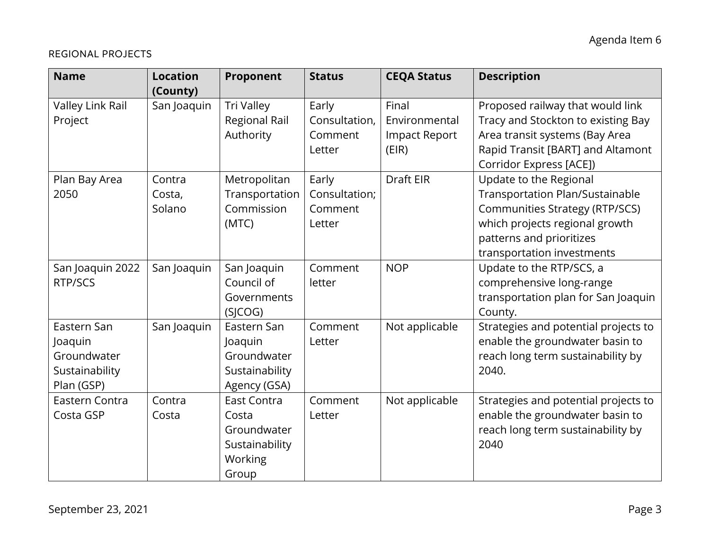### REGIONAL PROJECTS

| <b>Name</b>                                                           | <b>Location</b><br>(County) | Proponent                                                                        | <b>Status</b>                               | <b>CEQA Status</b>                                      | <b>Description</b>                                                                                                                                                                                    |
|-----------------------------------------------------------------------|-----------------------------|----------------------------------------------------------------------------------|---------------------------------------------|---------------------------------------------------------|-------------------------------------------------------------------------------------------------------------------------------------------------------------------------------------------------------|
| Valley Link Rail<br>Project                                           | San Joaquin                 | Tri Valley<br><b>Regional Rail</b><br>Authority                                  | Early<br>Consultation,<br>Comment<br>Letter | Final<br>Environmental<br><b>Impact Report</b><br>(EIR) | Proposed railway that would link<br>Tracy and Stockton to existing Bay<br>Area transit systems (Bay Area<br>Rapid Transit [BART] and Altamont<br>Corridor Express [ACE])                              |
| Plan Bay Area<br>2050                                                 | Contra<br>Costa,<br>Solano  | Metropolitan<br>Transportation<br>Commission<br>(MTC)                            | Early<br>Consultation;<br>Comment<br>Letter | Draft EIR                                               | Update to the Regional<br><b>Transportation Plan/Sustainable</b><br><b>Communities Strategy (RTP/SCS)</b><br>which projects regional growth<br>patterns and prioritizes<br>transportation investments |
| San Joaquin 2022<br>RTP/SCS                                           | San Joaquin                 | San Joaquin<br>Council of<br>Governments<br>(SICOG)                              | Comment<br>letter                           | <b>NOP</b>                                              | Update to the RTP/SCS, a<br>comprehensive long-range<br>transportation plan for San Joaquin<br>County.                                                                                                |
| Eastern San<br>Joaquin<br>Groundwater<br>Sustainability<br>Plan (GSP) | San Joaquin                 | Eastern San<br>Joaquin<br>Groundwater<br>Sustainability<br>Agency (GSA)          | Comment<br>Letter                           | Not applicable                                          | Strategies and potential projects to<br>enable the groundwater basin to<br>reach long term sustainability by<br>2040.                                                                                 |
| Eastern Contra<br>Costa GSP                                           | Contra<br>Costa             | East Contra<br>Costa<br>Groundwater<br>Sustainability<br><b>Working</b><br>Group | Comment<br>Letter                           | Not applicable                                          | Strategies and potential projects to<br>enable the groundwater basin to<br>reach long term sustainability by<br>2040                                                                                  |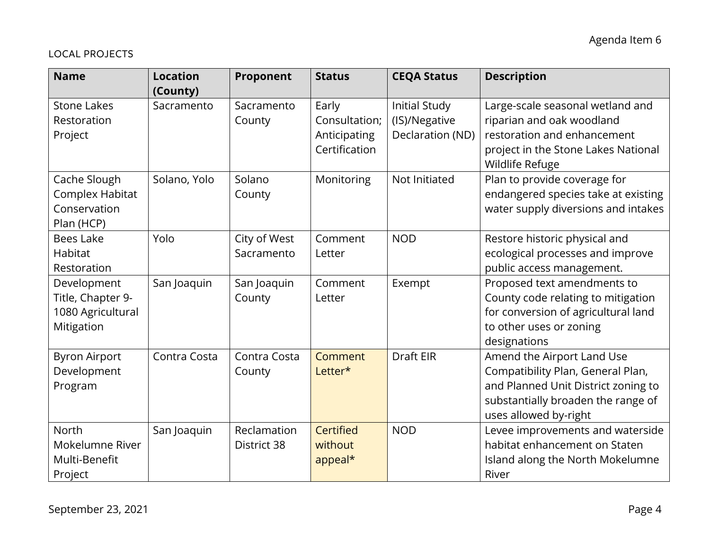### LOCAL PROJECTS

| <b>Name</b>                                                         | <b>Location</b><br>(County) | Proponent                  | <b>Status</b>                                           | <b>CEQA Status</b>                                        | <b>Description</b>                                                                                                                                                    |
|---------------------------------------------------------------------|-----------------------------|----------------------------|---------------------------------------------------------|-----------------------------------------------------------|-----------------------------------------------------------------------------------------------------------------------------------------------------------------------|
| <b>Stone Lakes</b><br>Restoration<br>Project                        | Sacramento                  | Sacramento<br>County       | Early<br>Consultation;<br>Anticipating<br>Certification | <b>Initial Study</b><br>(IS)/Negative<br>Declaration (ND) | Large-scale seasonal wetland and<br>riparian and oak woodland<br>restoration and enhancement<br>project in the Stone Lakes National<br>Wildlife Refuge                |
| Cache Slough<br>Complex Habitat<br>Conservation<br>Plan (HCP)       | Solano, Yolo                | Solano<br>County           | Monitoring                                              | Not Initiated                                             | Plan to provide coverage for<br>endangered species take at existing<br>water supply diversions and intakes                                                            |
| <b>Bees Lake</b><br>Habitat<br>Restoration                          | Yolo                        | City of West<br>Sacramento | Comment<br>Letter                                       | <b>NOD</b>                                                | Restore historic physical and<br>ecological processes and improve<br>public access management.                                                                        |
| Development<br>Title, Chapter 9-<br>1080 Agricultural<br>Mitigation | San Joaquin                 | San Joaquin<br>County      | Comment<br>Letter                                       | Exempt                                                    | Proposed text amendments to<br>County code relating to mitigation<br>for conversion of agricultural land<br>to other uses or zoning<br>designations                   |
| <b>Byron Airport</b><br>Development<br>Program                      | Contra Costa                | Contra Costa<br>County     | Comment<br>Letter*                                      | <b>Draft EIR</b>                                          | Amend the Airport Land Use<br>Compatibility Plan, General Plan,<br>and Planned Unit District zoning to<br>substantially broaden the range of<br>uses allowed by-right |
| North<br>Mokelumne River<br>Multi-Benefit<br>Project                | San Joaquin                 | Reclamation<br>District 38 | Certified<br>without<br>appeal*                         | <b>NOD</b>                                                | Levee improvements and waterside<br>habitat enhancement on Staten<br>Island along the North Mokelumne<br>River                                                        |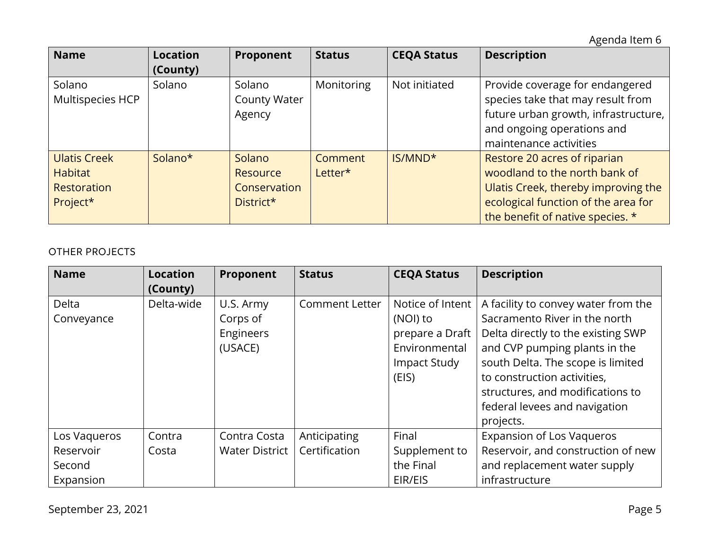Agenda Item 6

| <b>Name</b>                                                      | <b>Location</b><br>(County) | Proponent                                       | <b>Status</b>             | <b>CEQA Status</b>  | <b>Description</b>                                                                                                                                                              |
|------------------------------------------------------------------|-----------------------------|-------------------------------------------------|---------------------------|---------------------|---------------------------------------------------------------------------------------------------------------------------------------------------------------------------------|
| Solano<br>Multispecies HCP                                       | Solano                      | Solano<br><b>County Water</b><br>Agency         | Monitoring                | Not initiated       | Provide coverage for endangered<br>species take that may result from<br>future urban growth, infrastructure,<br>and ongoing operations and<br>maintenance activities            |
| <b>Ulatis Creek</b><br><b>Habitat</b><br>Restoration<br>Project* | Solano*                     | Solano<br>Resource<br>Conservation<br>District* | <b>Comment</b><br>Letter* | IS/MND <sup>*</sup> | Restore 20 acres of riparian<br>woodland to the north bank of<br>Ulatis Creek, thereby improving the<br>ecological function of the area for<br>the benefit of native species. * |

### OTHER PROJECTS

| <b>Name</b>  | <b>Location</b> | Proponent             | <b>Status</b>         | <b>CEQA Status</b> | <b>Description</b>                  |
|--------------|-----------------|-----------------------|-----------------------|--------------------|-------------------------------------|
|              | (County)        |                       |                       |                    |                                     |
| Delta        | Delta-wide      | U.S. Army             | <b>Comment Letter</b> | Notice of Intent   | A facility to convey water from the |
| Conveyance   |                 | Corps of              |                       | (NOI) to           | Sacramento River in the north       |
|              |                 | Engineers             |                       | prepare a Draft    | Delta directly to the existing SWP  |
|              |                 | (USACE)               |                       | Environmental      | and CVP pumping plants in the       |
|              |                 |                       |                       | Impact Study       | south Delta. The scope is limited   |
|              |                 |                       |                       | (EIS)              | to construction activities,         |
|              |                 |                       |                       |                    | structures, and modifications to    |
|              |                 |                       |                       |                    | federal levees and navigation       |
|              |                 |                       |                       |                    | projects.                           |
| Los Vagueros | Contra          | Contra Costa          | Anticipating          | Final              | <b>Expansion of Los Vaqueros</b>    |
| Reservoir    | Costa           | <b>Water District</b> | Certification         | Supplement to      | Reservoir, and construction of new  |
| Second       |                 |                       |                       | the Final          | and replacement water supply        |
| Expansion    |                 |                       |                       | EIR/EIS            | infrastructure                      |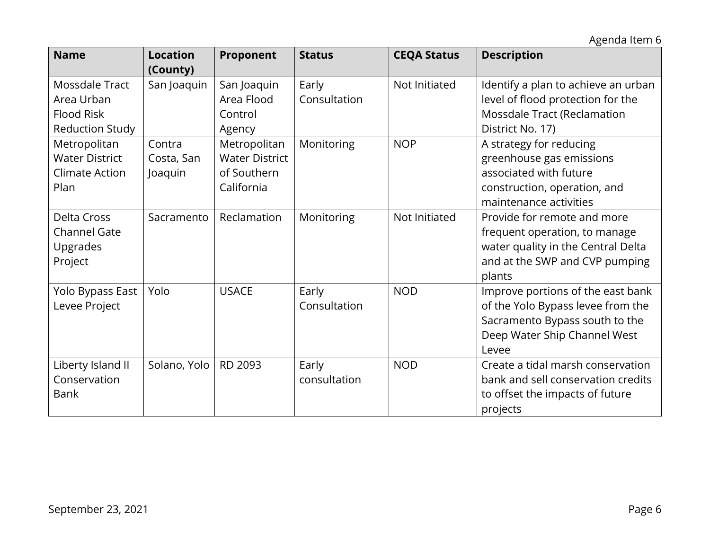Agenda Item 6

| <b>Name</b>                                                                 | <b>Location</b><br>(County)     | Proponent                                                          | <b>Status</b>         | <b>CEQA Status</b> | <b>Description</b>                                                                                                                                |
|-----------------------------------------------------------------------------|---------------------------------|--------------------------------------------------------------------|-----------------------|--------------------|---------------------------------------------------------------------------------------------------------------------------------------------------|
| Mossdale Tract<br>Area Urban<br><b>Flood Risk</b><br><b>Reduction Study</b> | San Joaquin                     | San Joaquin<br>Area Flood<br>Control<br>Agency                     | Early<br>Consultation | Not Initiated      | Identify a plan to achieve an urban<br>level of flood protection for the<br>Mossdale Tract (Reclamation<br>District No. 17)                       |
| Metropolitan<br><b>Water District</b><br><b>Climate Action</b><br>Plan      | Contra<br>Costa, San<br>Joaquin | Metropolitan<br><b>Water District</b><br>of Southern<br>California | Monitoring            | <b>NOP</b>         | A strategy for reducing<br>greenhouse gas emissions<br>associated with future<br>construction, operation, and<br>maintenance activities           |
| <b>Delta Cross</b><br><b>Channel Gate</b><br>Upgrades<br>Project            | Sacramento                      | Reclamation                                                        | Monitoring            | Not Initiated      | Provide for remote and more<br>frequent operation, to manage<br>water quality in the Central Delta<br>and at the SWP and CVP pumping<br>plants    |
| Yolo Bypass East<br>Levee Project                                           | Yolo                            | <b>USACE</b>                                                       | Early<br>Consultation | <b>NOD</b>         | Improve portions of the east bank<br>of the Yolo Bypass levee from the<br>Sacramento Bypass south to the<br>Deep Water Ship Channel West<br>Levee |
| Liberty Island II<br>Conservation<br><b>Bank</b>                            | Solano, Yolo                    | RD 2093                                                            | Early<br>consultation | <b>NOD</b>         | Create a tidal marsh conservation<br>bank and sell conservation credits<br>to offset the impacts of future<br>projects                            |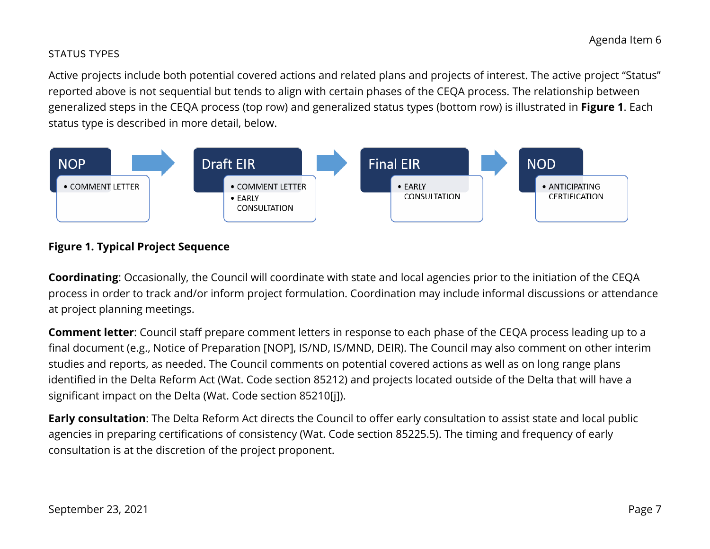#### STATUS TYPES

Active projects include both potential covered actions and related plans and projects of interest. The active project "Status" reported above is not sequential but tends to align with certain phases of the CEQA process. The relationship between generalized steps in the CEQA process (top row) and generalized status types (bottom row) is illustrated in **Figure 1**. Each status type is described in more detail, below.



## **Figure 1. Typical Project Sequence**

**Coordinating**: Occasionally, the Council will coordinate with state and local agencies prior to the initiation of the CEQA process in order to track and/or inform project formulation. Coordination may include informal discussions or attendance at project planning meetings.

**Comment letter**: Council staff prepare comment letters in response to each phase of the CEQA process leading up to a final document (e.g., Notice of Preparation [NOP], IS/ND, IS/MND, DEIR). The Council may also comment on other interim studies and reports, as needed. The Council comments on potential covered actions as well as on long range plans identified in the Delta Reform Act (Wat. Code section 85212) and projects located outside of the Delta that will have a significant impact on the Delta (Wat. Code section 85210[j]).

**Early consultation**: The Delta Reform Act directs the Council to offer early consultation to assist state and local public agencies in preparing certifications of consistency (Wat. Code section 85225.5). The timing and frequency of early consultation is at the discretion of the project proponent.